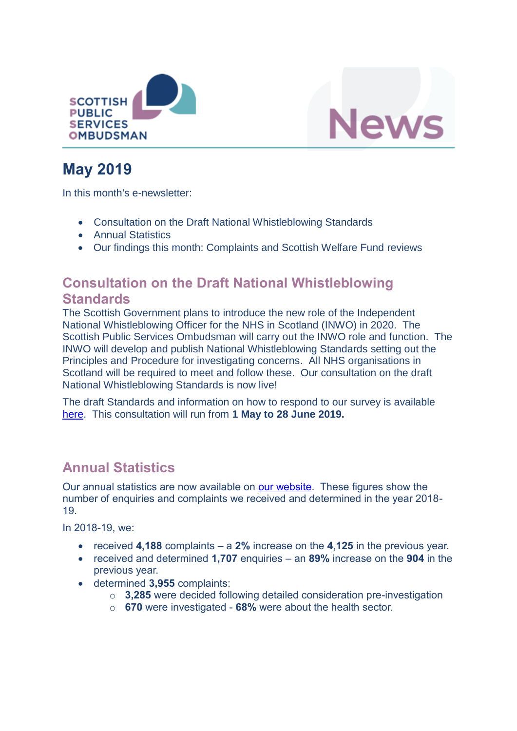



# **May 2019**

In this month's e-newsletter:

- Consultation on the Draft National Whistleblowing Standards
- **•** Annual Statistics
- Our findings this month: Complaints and Scottish Welfare Fund reviews

## **Consultation on the Draft National Whistleblowing Standards**

The Scottish Government plans to introduce the new role of the Independent National Whistleblowing Officer for the NHS in Scotland (INWO) in 2020. The Scottish Public Services Ombudsman will carry out the INWO role and function. The INWO will develop and publish National Whistleblowing Standards setting out the Principles and Procedure for investigating concerns. All NHS organisations in Scotland will be required to meet and follow these. Our consultation on the draft National Whistleblowing Standards is now live!

The draft Standards and information on how to respond to our survey is available [here.](https://www.spso.org.uk/consultation-the-draft-national-whistleblowing-standards) This consultation will run from **1 May to 28 June 2019.**

# **Annual Statistics**

Our annual statistics are now available on [our website.](https://www.spso.org.uk/statistics-2018-19) These figures show the number of enquiries and complaints we received and determined in the year 2018- 19.

In 2018-19, we:

- received **4,188** complaints a **2%** increase on the **4,125** in the previous year.
- received and determined **1,707** enquiries an **89%** increase on the **904** in the previous year.
- determined **3,955** complaints:
	- o **3,285** were decided following detailed consideration pre-investigation
	- o **670** were investigated **68%** were about the health sector.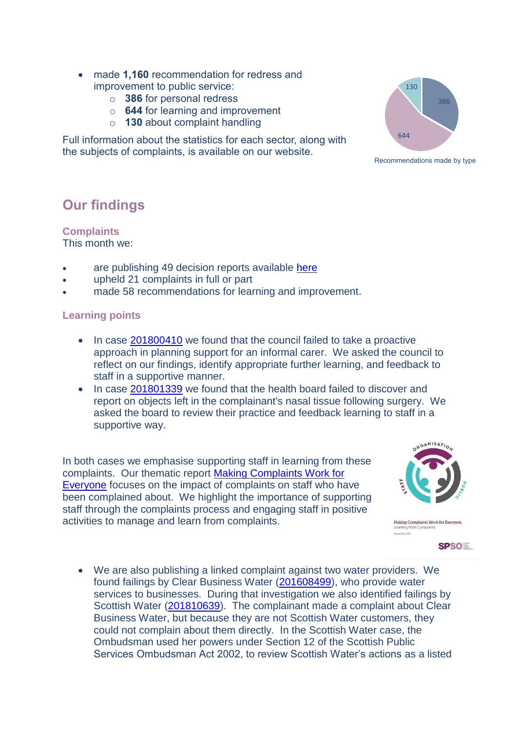- made **1,160** recommendation for redress and improvement to public service:
	- o **386** for personal redress
	- o **644** for learning and improvement
	- o **130** about complaint handling

Full information about the statistics for each sector, along with the subjects of complaints, is available on our website.



Recommendations made by type

### **Our findings**

**Complaints** This month we:

- are publishing 49 decision reports available [here](https://www.spso.org.uk/our-findings)
- upheld 21 complaints in full or part
- made 58 recommendations for learning and improvement.

#### **Learning points**

- In case [201800410](https://www.spso.org.uk/decision-reports/2019/may/decision-report-201800410-201800410) we found that the council failed to take a proactive approach in planning support for an informal carer. We asked the council to reflect on our findings, identify appropriate further learning, and feedback to staff in a supportive manner.
- In case [201801339](https://www.spso.org.uk/decision-reports/2019/may/decision-report-201801339-201801339) we found that the health board failed to discover and report on objects left in the complainant's nasal tissue following surgery. We asked the board to review their practice and feedback learning to staff in a supportive way.

In both cases we emphasise supporting staff in learning from these complaints. Our thematic report [Making Complaints Work for](http://www.valuingcomplaints.org.uk/sites/valuingcomplaints/files/resources/MakingComplaintsWorkForEveryoneFinalWeb.pdf)  [Everyone](http://www.valuingcomplaints.org.uk/sites/valuingcomplaints/files/resources/MakingComplaintsWorkForEveryoneFinalWeb.pdf) focuses on the impact of complaints on staff who have been complained about. We highlight the importance of supporting staff through the complaints process and engaging staff in positive activities to manage and learn from complaints.





Making Complaints Work for Evervone

**SPSO**